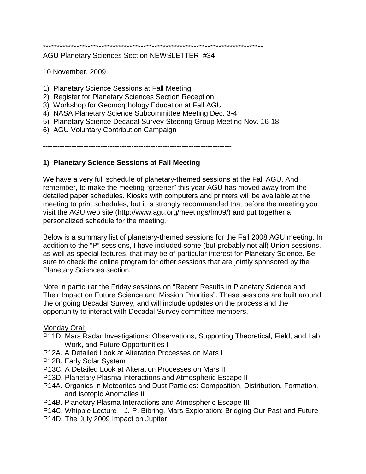# \*\*\*\*\*\*\*\*\*\*\*\*\*\*\*\*\*\*\*\*\*\*\*\*\*\*\*\*\*\*\*\*\*\*\*\*\*\*\*\*\*\*\*\*\*\*\*\*\*\*\*\*\*\*\*\*\*\*\*\*\*\*\*\*\*\*\*\*\*\*\*\*\*\*\*\*\*\*\*

AGU Planetary Sciences Section NEWSLETTER #34

10 November, 2009

- 1) Planetary Science Sessions at Fall Meeting
- 2) Register for Planetary Sciences Section Reception
- 3) Workshop for Geomorphology Education at Fall AGU
- 4) NASA Planetary Science Subcommittee Meeting Dec. 3-4
- 5) Planetary Science Decadal Survey Steering Group Meeting Nov. 16-18
- 6) AGU Voluntary Contribution Campaign

**-------------------------------------------------------------------------------**

# **1) Planetary Science Sessions at Fall Meeting**

We have a very full schedule of planetary-themed sessions at the Fall AGU. And remember, to make the meeting "greener" this year AGU has moved away from the detailed paper schedules. Kiosks with computers and printers will be available at the meeting to print schedules, but it is strongly recommended that before the meeting you visit the AGU web site (http://www.agu.org/meetings/fm09/) and put together a personalized schedule for the meeting.

Below is a summary list of planetary-themed sessions for the Fall 2008 AGU meeting. In addition to the "P" sessions, I have included some (but probably not all) Union sessions, as well as special lectures, that may be of particular interest for Planetary Science. Be sure to check the online program for other sessions that are jointly sponsored by the Planetary Sciences section.

Note in particular the Friday sessions on "Recent Results in Planetary Science and Their Impact on Future Science and Mission Priorities". These sessions are built around the ongoing Decadal Survey, and will include updates on the process and the opportunity to interact with Decadal Survey committee members.

### Monday Oral:

- P11D. Mars Radar Investigations: Observations, Supporting Theoretical, Field, and Lab Work, and Future Opportunities I
- P12A. A Detailed Look at Alteration Processes on Mars I
- P12B. Early Solar System
- P13C. A Detailed Look at Alteration Processes on Mars II
- P13D. Planetary Plasma Interactions and Atmospheric Escape II
- P14A. Organics in Meteorites and Dust Particles: Composition, Distribution, Formation, and Isotopic Anomalies II
- P14B. Planetary Plasma Interactions and Atmospheric Escape III
- P14C. Whipple Lecture J.-P. Bibring, Mars Exploration: Bridging Our Past and Future
- P14D. The July 2009 Impact on Jupiter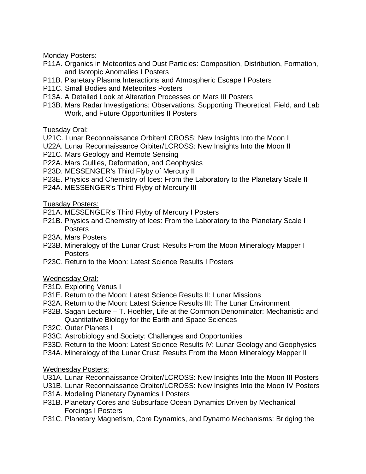Monday Posters:

- P11A. Organics in Meteorites and Dust Particles: Composition, Distribution, Formation, and Isotopic Anomalies I Posters
- P11B. Planetary Plasma Interactions and Atmospheric Escape I Posters
- P11C. Small Bodies and Meteorites Posters
- P13A. A Detailed Look at Alteration Processes on Mars III Posters
- P13B. Mars Radar Investigations: Observations, Supporting Theoretical, Field, and Lab Work, and Future Opportunities II Posters

Tuesday Oral:

- U21C. Lunar Reconnaissance Orbiter/LCROSS: New Insights Into the Moon I
- U22A. Lunar Reconnaissance Orbiter/LCROSS: New Insights Into the Moon II
- P21C. Mars Geology and Remote Sensing
- P22A. Mars Gullies, Deformation, and Geophysics
- P23D. MESSENGER's Third Flyby of Mercury II
- P23E. Physics and Chemistry of Ices: From the Laboratory to the Planetary Scale II
- P24A. MESSENGER's Third Flyby of Mercury III

Tuesday Posters:

- P21A. MESSENGER's Third Flyby of Mercury I Posters
- P21B. Physics and Chemistry of Ices: From the Laboratory to the Planetary Scale I Posters
- P23A. Mars Posters
- P23B. Mineralogy of the Lunar Crust: Results From the Moon Mineralogy Mapper I Posters
- P23C. Return to the Moon: Latest Science Results I Posters

Wednesday Oral:

- P31D. Exploring Venus I
- P31E. Return to the Moon: Latest Science Results II: Lunar Missions
- P32A. Return to the Moon: Latest Science Results III: The Lunar Environment
- P32B. Sagan Lecture T. Hoehler, Life at the Common Denominator: Mechanistic and Quantitative Biology for the Earth and Space Sciences
- P32C. Outer Planets I
- P33C. Astrobiology and Society: Challenges and Opportunities
- P33D. Return to the Moon: Latest Science Results IV: Lunar Geology and Geophysics
- P34A. Mineralogy of the Lunar Crust: Results From the Moon Mineralogy Mapper II

# Wednesday Posters:

- U31A. Lunar Reconnaissance Orbiter/LCROSS: New Insights Into the Moon III Posters
- U31B. Lunar Reconnaissance Orbiter/LCROSS: New Insights Into the Moon IV Posters
- P31A. Modeling Planetary Dynamics I Posters
- P31B. Planetary Cores and Subsurface Ocean Dynamics Driven by Mechanical Forcings I Posters
- P31C. Planetary Magnetism, Core Dynamics, and Dynamo Mechanisms: Bridging the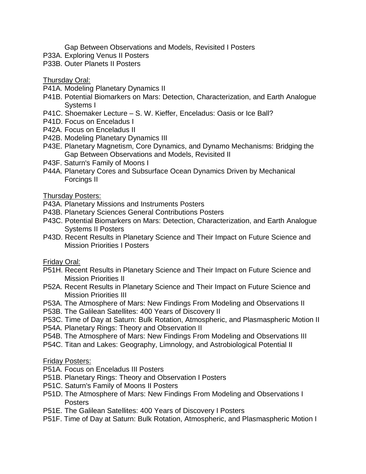Gap Between Observations and Models, Revisited I Posters

- P33A. Exploring Venus II Posters
- P33B. Outer Planets II Posters

### Thursday Oral:

- P41A. Modeling Planetary Dynamics II
- P41B. Potential Biomarkers on Mars: Detection, Characterization, and Earth Analogue Systems I
- P41C. Shoemaker Lecture S. W. Kieffer, Enceladus: Oasis or Ice Ball?
- P41D. Focus on Enceladus I
- P42A. Focus on Enceladus II
- P42B. Modeling Planetary Dynamics III
- P43E. Planetary Magnetism, Core Dynamics, and Dynamo Mechanisms: Bridging the Gap Between Observations and Models, Revisited II
- P43F. Saturn's Family of Moons I
- P44A. Planetary Cores and Subsurface Ocean Dynamics Driven by Mechanical Forcings II

### Thursday Posters:

- P43A. Planetary Missions and Instruments Posters
- P43B. Planetary Sciences General Contributions Posters
- P43C. Potential Biomarkers on Mars: Detection, Characterization, and Earth Analogue Systems II Posters
- P43D. Recent Results in Planetary Science and Their Impact on Future Science and Mission Priorities I Posters

#### Friday Oral:

- P51H. Recent Results in Planetary Science and Their Impact on Future Science and Mission Priorities II
- P52A. Recent Results in Planetary Science and Their Impact on Future Science and Mission Priorities III
- P53A. The Atmosphere of Mars: New Findings From Modeling and Observations II
- P53B. The Galilean Satellites: 400 Years of Discovery II
- P53C. Time of Day at Saturn: Bulk Rotation, Atmospheric, and Plasmaspheric Motion II
- P54A. Planetary Rings: Theory and Observation II
- P54B. The Atmosphere of Mars: New Findings From Modeling and Observations III
- P54C. Titan and Lakes: Geography, Limnology, and Astrobiological Potential II

### Friday Posters:

- P51A. Focus on Enceladus III Posters
- P51B. Planetary Rings: Theory and Observation I Posters
- P51C. Saturn's Family of Moons II Posters
- P51D. The Atmosphere of Mars: New Findings From Modeling and Observations I **Posters**
- P51E. The Galilean Satellites: 400 Years of Discovery I Posters
- P51F. Time of Day at Saturn: Bulk Rotation, Atmospheric, and Plasmaspheric Motion I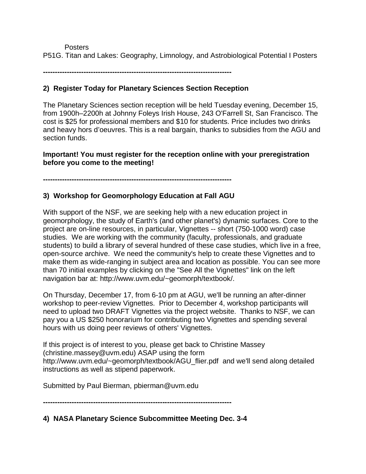Posters P51G. Titan and Lakes: Geography, Limnology, and Astrobiological Potential I Posters

**-------------------------------------------------------------------------------**

# **2) Register Today for Planetary Sciences Section Reception**

The Planetary Sciences section reception will be held Tuesday evening, December 15, from 1900h–2200h at Johnny Foleys Irish House, 243 O'Farrell St, San Francisco. The cost is \$25 for professional members and \$10 for students. Price includes two drinks and heavy hors d'oeuvres. This is a real bargain, thanks to subsidies from the AGU and section funds.

**Important! You must register for the reception online with your preregistration before you come to the meeting!**

**-------------------------------------------------------------------------------**

# **3) Workshop for Geomorphology Education at Fall AGU**

With support of the NSF, we are seeking help with a new education project in geomorphology, the study of Earth's (and other planet's) dynamic surfaces. Core to the project are on-line resources, in particular, Vignettes -- short (750-1000 word) case studies. We are working with the community (faculty, professionals, and graduate students) to build a library of several hundred of these case studies, which live in a free, open-source archive. We need the community's help to create these Vignettes and to make them as wide-ranging in subject area and location as possible. You can see more than 70 initial examples by clicking on the "See All the Vignettes" link on the left navigation bar at: http://www.uvm.edu/~geomorph/textbook/.

On Thursday, December 17, from 6-10 pm at AGU, we'll be running an after-dinner workshop to peer-review Vignettes. Prior to December 4, workshop participants will need to upload two DRAFT Vignettes via the project website. Thanks to NSF, we can pay you a US \$250 honorarium for contributing two Vignettes and spending several hours with us doing peer reviews of others' Vignettes.

If this project is of interest to you, please get back to Christine Massey (christine.massey@uvm.edu) ASAP using the form http://www.uvm.edu/~geomorph/textbook/AGU\_flier.pdf and we'll send along detailed instructions as well as stipend paperwork.

Submitted by Paul Bierman, pbierman@uvm.edu

**-------------------------------------------------------------------------------**

**4) NASA Planetary Science Subcommittee Meeting Dec. 3-4**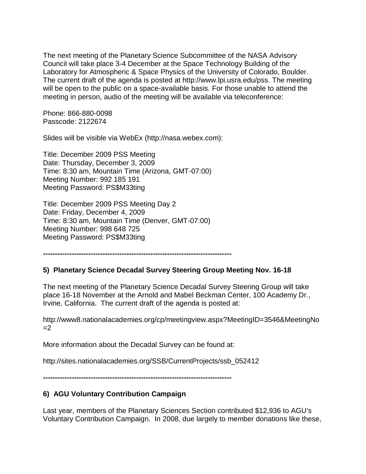The next meeting of the Planetary Science Subcommittee of the NASA Advisory Council will take place 3-4 December at the Space Technology Building of the Laboratory for Atmospheric & Space Physics of the University of Colorado, Boulder. The current draft of the agenda is posted at http://www.lpi.usra.edu/pss. The meeting will be open to the public on a space-available basis. For those unable to attend the meeting in person, audio of the meeting will be available via teleconference:

Phone: 866-880-0098 Passcode: 2122674

Slides will be visible via WebEx (http://nasa.webex.com):

Title: December 2009 PSS Meeting Date: Thursday, December 3, 2009 Time: 8:30 am, Mountain Time (Arizona, GMT-07:00) Meeting Number: 992 185 191 Meeting Password: PS\$M33ting

Title: December 2009 PSS Meeting Day 2 Date: Friday, December 4, 2009 Time: 8:30 am, Mountain Time (Denver, GMT-07:00) Meeting Number: 998 648 725 Meeting Password: PS\$M33ting

**-------------------------------------------------------------------------------**

### **5) Planetary Science Decadal Survey Steering Group Meeting Nov. 16-18**

The next meeting of the Planetary Science Decadal Survey Steering Group will take place 16-18 November at the Arnold and Mabel Beckman Center, 100 Academy Dr., Irvine, California. The current draft of the agenda is posted at:

http://www8.nationalacademies.org/cp/meetingview.aspx?MeetingID=3546&MeetingNo  $=2$ 

More information about the Decadal Survey can be found at:

http://sites.nationalacademies.org/SSB/CurrentProjects/ssb\_052412

**-------------------------------------------------------------------------------**

# **6) AGU Voluntary Contribution Campaign**

Last year, members of the Planetary Sciences Section contributed \$12,936 to AGU's Voluntary Contribution Campaign. In 2008, due largely to member donations like these,